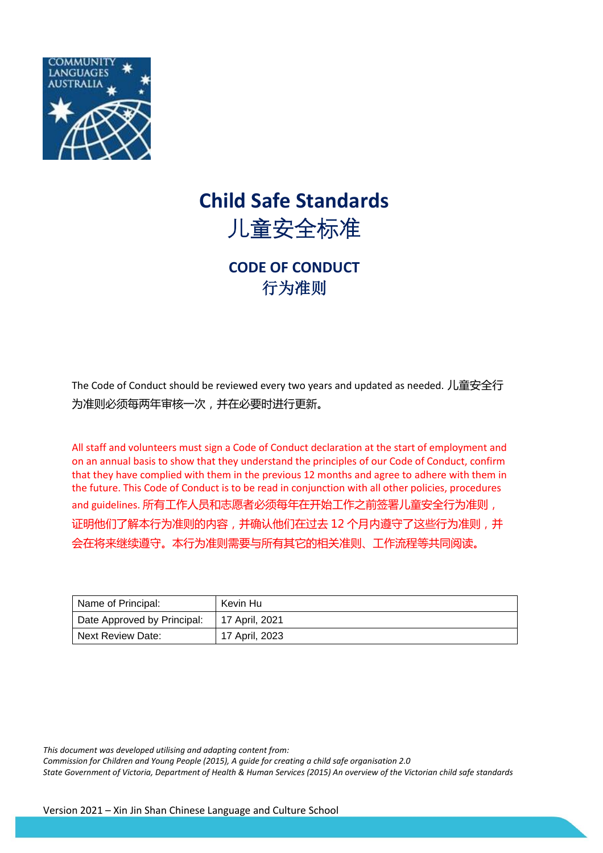

## **Child Safe Standards** 儿童安全标准

**CODE OF CONDUCT** 行为准则

The Code of Conduct should be reviewed every two years and updated as needed. 儿童安全行 为准则必须每两年审核一次,并在必要时进行更新。

All staff and volunteers must sign a Code of Conduct declaration at the start of employment and on an annual basis to show that they understand the principles of our Code of Conduct, confirm that they have complied with them in the previous 12 months and agree to adhere with them in the future. This Code of Conduct is to be read in conjunction with all other policies, procedures and guidelines. 所有工作人员和志愿者必须每年在开始工作之前签署儿童安全行为准则, 证明他们了解本行为准则的内容,并确认他们在过去 12 个月内遵守了这些行为准则,并 会在将来继续遵守。本行为准则需要与所有其它的相关准则、工作流程等共同阅读。

| Name of Principal:          | Kevin Hu       |
|-----------------------------|----------------|
| Date Approved by Principal: | 17 April, 2021 |
| Next Review Date:           | 17 April, 2023 |

*This document was developed utilising and adapting content from:*

*Commission for Children and Young People (2015), A guide for creating a child safe organisation 2.0*

*State Government of Victoria, Department of Health & Human Services (2015) An overview of the Victorian child safe standards*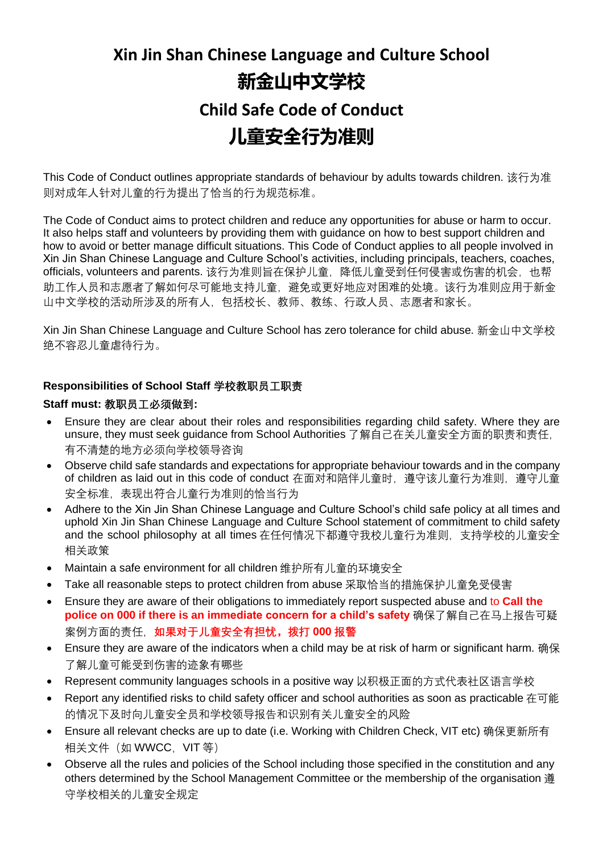# **Xin Jin Shan Chinese Language and Culture School 新金山中文学校 Child Safe Code of Conduct 儿童安全行为准则**

This Code of Conduct outlines appropriate standards of behaviour by adults towards children. 该行为准 则对成年人针对儿童的行为提出了恰当的行为规范标准。

The Code of Conduct aims to protect children and reduce any opportunities for abuse or harm to occur. It also helps staff and volunteers by providing them with guidance on how to best support children and how to avoid or better manage difficult situations. This Code of Conduct applies to all people involved in Xin Jin Shan Chinese Language and Culture School's activities, including principals, teachers, coaches, officials, volunteers and parents. 该行为准则旨在保护儿童, 降低儿童受到任何侵害或伤害的机会, 也帮 助工作人员和志愿者了解如何尽可能地支持儿童,避免或更好地应对困难的处境。该行为准则应用于新金 山中文学校的活动所涉及的所有人,包括校长、教师、教练、行政人员、志愿者和家长。

Xin Jin Shan Chinese Language and Culture School has zero tolerance for child abuse. 新金山中文学校 绝不容忍儿童虐待行为。

#### **Responsibilities of School Staff 学校教职员工职责**

#### **Staff must: 教职员工必须做到:**

- Ensure they are clear about their roles and responsibilities regarding child safety. Where they are unsure, they must seek guidance from School Authorities 了解自己在关儿童安全方面的职责和责任, 有不清楚的地方必须向学校领导咨询
- Observe child safe standards and expectations for appropriate behaviour towards and in the company of children as laid out in this code of conduct 在面对和陪伴儿童时, 遵守该儿童行为准则, 遵守儿童 安全标准,表现出符合儿童行为准则的恰当行为
- Adhere to the Xin Jin Shan Chinese Language and Culture School's child safe policy at all times and uphold Xin Jin Shan Chinese Language and Culture School statement of commitment to child safety and the school philosophy at all times 在任何情况下都遵守我校儿童行为准则,支持学校的儿童安全 相关政策
- Maintain a safe environment for all children 维护所有儿童的环境安全
- Take all reasonable steps to protect children from abuse 采取恰当的措施保护儿童免受侵害
- Ensure they are aware of their obligations to immediately report suspected abuse and to **Call the police on 000 if there is an immediate concern for a child's safety** 确保了解自己在马上报告可疑 案例方面的责任,**如果对于儿童安全有担忧,拨打 000 报警**
- Ensure they are aware of the indicators when a child may be at risk of harm or significant harm. 确保 了解儿童可能受到伤害的迹象有哪些
- Represent community languages schools in a positive way 以积极正面的方式代表社区语言学校
- Report any identified risks to child safety officer and school authorities as soon as practicable 在可能 的情况下及时向儿童安全员和学校领导报告和识别有关儿童安全的风险
- Ensure all relevant checks are up to date (i.e. Working with Children Check, VIT etc) 确保更新所有 相关文件(如 WWCC,VIT 等)
- Observe all the rules and policies of the School including those specified in the constitution and any others determined by the School Management Committee or the membership of the organisation 遵 守学校相关的儿童安全规定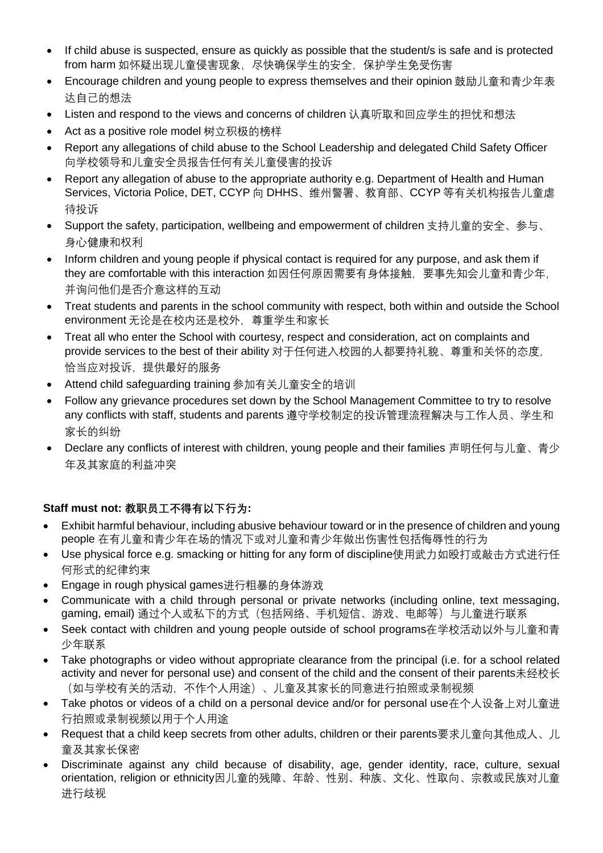- If child abuse is suspected, ensure as quickly as possible that the student/s is safe and is protected from harm 如怀疑出现儿童侵害现象, 尽快确保学生的安全, 保护学生免受伤害
- Encourage children and young people to express themselves and their opinion 鼓励儿童和青少年表 达自己的想法
- Listen and respond to the views and concerns of children 认真听取和回应学生的担忧和想法
- Act as a positive role model 树立积极的榜样
- Report any allegations of child abuse to the School Leadership and delegated Child Safety Officer 向学校领导和儿童安全员报告任何有关儿童侵害的投诉
- Report any allegation of abuse to the appropriate authority e.g. Department of Health and Human Services, Victoria Police, DET, CCYP 向 DHHS、维州警署、教育部、CCYP 等有关机构报告儿童虐 待投诉
- Support the safety, participation, wellbeing and empowerment of children 支持儿童的安全、参与、 身心健康和权利
- Inform children and young people if physical contact is required for any purpose, and ask them if they are comfortable with this interaction 如因任何原因需要有身体接触,要事先知会儿童和青少年, 并询问他们是否介意这样的互动
- Treat students and parents in the school community with respect, both within and outside the School environment 无论是在校内还是校外,尊重学生和家长
- Treat all who enter the School with courtesy, respect and consideration, act on complaints and provide services to the best of their ability 对于任何进入校园的人都要持礼貌、尊重和关怀的态度, 恰当应对投诉,提供最好的服务
- Attend child safeguarding training 参加有关儿童安全的培训
- Follow any grievance procedures set down by the School Management Committee to try to resolve any conflicts with staff, students and parents 遵守学校制定的投诉管理流程解决与工作人员、学生和 家长的纠纷
- Declare any conflicts of interest with children, young people and their families 声明任何与儿童、青少 年及其家庭的利益冲突

## **Staff must not: 教职员工不得有以下行为:**

- Exhibit harmful behaviour, including abusive behaviour toward or in the presence of children and young people 在有儿童和青少年在场的情况下或对儿童和青少年做出伤害性包括侮辱性的行为
- Use physical force e.g. smacking or hitting for any form of discipline使用武力如殴打或敲击方式进行任 何形式的纪律约束
- Engage in rough physical games进行粗暴的身体游戏
- Communicate with a child through personal or private networks (including online, text messaging, gaming, email) 通过个人或私下的方式 (包括网络、手机短信、游戏、电邮等) 与儿童进行联系
- Seek contact with children and young people outside of school programs在学校活动以外与儿童和青 少年联系
- Take photographs or video without appropriate clearance from the principal (i.e. for a school related activity and never for personal use) and consent of the child and the consent of their parents未经校长 (如与学校有关的活动,不作个人用途)、儿童及其家长的同意进行拍照或录制视频
- Take photos or videos of a child on a personal device and/or for personal use在个人设备上对儿童进 行拍照或录制视频以用于个人用途
- Request that a child keep secrets from other adults, children or their parents要求儿童向其他成人、儿 童及其家长保密
- Discriminate against any child because of disability, age, gender identity, race, culture, sexual orientation, religion or ethnicity因儿童的残障、年龄、性别、种族、文化、性取向、宗教或民族对儿童 进行歧视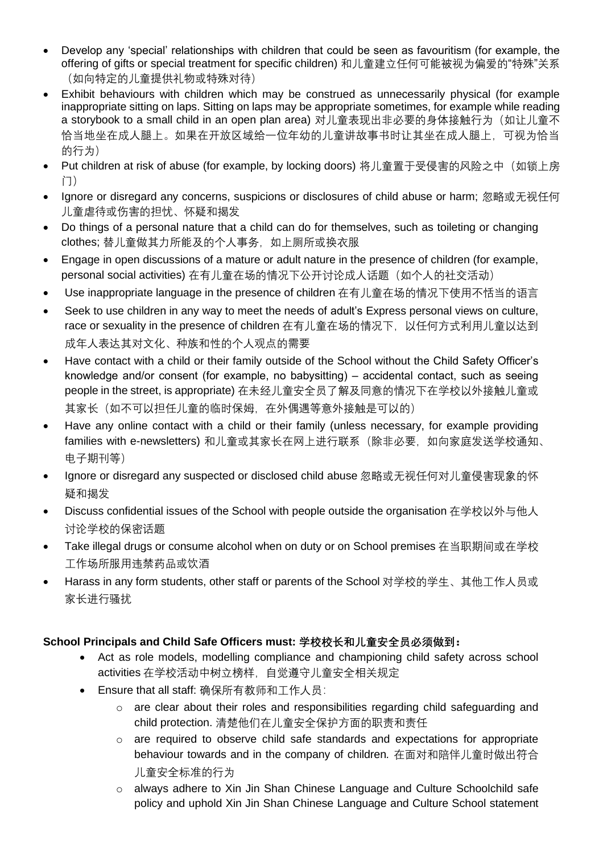- Develop any 'special' relationships with children that could be seen as favouritism (for example, the offering of gifts or special treatment for specific children) 和儿童建立任何可能被视为偏爱的"特殊"关系 (如向特定的儿童提供礼物或特殊对待)
- Exhibit behaviours with children which may be construed as unnecessarily physical (for example inappropriate sitting on laps. Sitting on laps may be appropriate sometimes, for example while reading a storybook to a small child in an open plan area) 对儿童表现出非必要的身体接触行为(如让儿童不 恰当地坐在成人腿上。如果在开放区域给一位年幼的儿童讲故事书时让其坐在成人腿上,可视为恰当 的行为)
- Put children at risk of abuse (for example, by locking doors) 将儿童置于受侵害的风险之中(如锁上房 门)
- Ignore or disregard any concerns, suspicions or disclosures of child abuse or harm; 忽略或无视任何 儿童虐待或伤害的担忧、怀疑和揭发
- Do things of a personal nature that a child can do for themselves, such as toileting or changing clothes; 替儿童做其力所能及的个人事务,如上厕所或换衣服
- Engage in open discussions of a mature or adult nature in the presence of children (for example, personal social activities) 在有儿童在场的情况下公开讨论成人话题(如个人的社交活动)
- Use inappropriate language in the presence of children 在有儿童在场的情况下使用不恬当的语言
- Seek to use children in any way to meet the needs of adult's Express personal views on culture, race or sexuality in the presence of children 在有儿童在场的情况下, 以任何方式利用儿童以达到 成年人表达其对文化、种族和性的个人观点的需要
- Have contact with a child or their family outside of the School without the Child Safety Officer's knowledge and/or consent (for example, no babysitting) – accidental contact, such as seeing people in the street, is appropriate) 在未经儿童安全员了解及同意的情况下在学校以外接触儿童或 其家长(如不可以担任儿童的临时保姆,在外偶遇等意外接触是可以的)
- Have any online contact with a child or their family (unless necessary, for example providing families with e-newsletters) 和儿童或其家长在网上进行联系(除非必要, 如向家庭发送学校通知、 电子期刊等)
- Ignore or disregard any suspected or disclosed child abuse 忽略或无视任何对儿童侵害现象的怀 疑和揭发
- Discuss confidential issues of the School with people outside the organisation 在学校以外与他人 讨论学校的保密话题
- Take illegal drugs or consume alcohol when on duty or on School premises 在当职期间或在学校 工作场所服用违禁药品或饮酒
- Harass in any form students, other staff or parents of the School 对学校的学生、其他工作人员或 家长进行骚扰

## **School Principals and Child Safe Officers must: 学校校长和儿童安全员必须做到:**

- Act as role models, modelling compliance and championing child safety across school activities 在学校活动中树立榜样,自觉遵守儿童安全相关规定
- Ensure that all staff: 确保所有教师和工作人员:
	- $\circ$  are clear about their roles and responsibilities regarding child safeguarding and child protection. 清楚他们在儿童安全保护方面的职责和责任
	- $\circ$  are required to observe child safe standards and expectations for appropriate behaviour towards and in the company of children*.* 在面对和陪伴儿童时做出符合 儿童安全标准的行为
	- o always adhere to Xin Jin Shan Chinese Language and Culture Schoolchild safe policy and uphold Xin Jin Shan Chinese Language and Culture School statement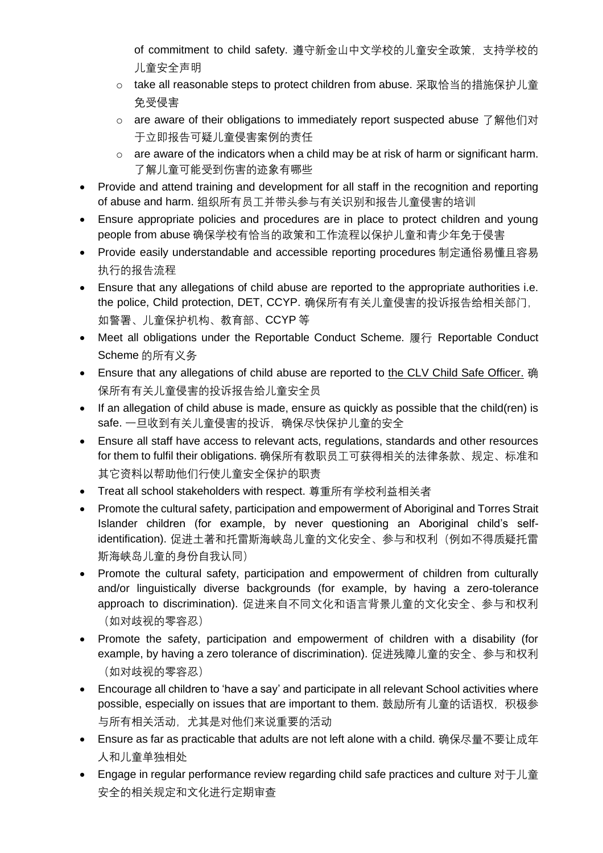of commitment to child safety. 遵守新金山中文学校的儿童安全政策,支持学校的 儿童安全声明

- take all reasonable steps to protect children from abuse. 采取恰当的措施保护儿童 免受侵害
- $\circ$  are aware of their obligations to immediately report suspected abuse 了解他们对 于立即报告可疑儿童侵害案例的责任
- $\circ$  are aware of the indicators when a child may be at risk of harm or significant harm. 了解儿童可能受到伤害的迹象有哪些
- Provide and attend training and development for all staff in the recognition and reporting of abuse and harm. 组织所有员工并带头参与有关识别和报告儿童侵害的培训
- Ensure appropriate policies and procedures are in place to protect children and young people from abuse 确保学校有恰当的政策和工作流程以保护儿童和青少年免于侵害
- Provide easily understandable and accessible reporting procedures 制定通俗易懂且容易 执行的报告流程
- Ensure that any allegations of child abuse are reported to the appropriate authorities i.e. the police, Child protection, DET, CCYP. 确保所有有关儿童侵害的投诉报告给相关部门, 如警署、儿童保护机构、教育部、CCYP 等
- Meet all obligations under the Reportable Conduct Scheme. 履行 Reportable Conduct Scheme 的所有义务
- Ensure that any allegations of child abuse are reported to the CLV Child Safe Officer. 确 保所有有关儿童侵害的投诉报告给儿童安全员
- If an allegation of child abuse is made, ensure as quickly as possible that the child(ren) is safe. 一旦收到有关儿童侵害的投诉, 确保尽快保护儿童的安全
- Ensure all staff have access to relevant acts, regulations, standards and other resources for them to fulfil their obligations. 确保所有教职员工可获得相关的法律条款、规定、标准和 其它资料以帮助他们行使儿童安全保护的职责
- Treat all school stakeholders with respect. 尊重所有学校利益相关者
- Promote the cultural safety, participation and empowerment of Aboriginal and Torres Strait Islander children (for example, by never questioning an Aboriginal child's selfidentification). 促进土著和托雷斯海峡岛儿童的文化安全、参与和权利(例如不得质疑托雷 斯海峡岛儿童的身份自我认同)
- Promote the cultural safety, participation and empowerment of children from culturally and/or linguistically diverse backgrounds (for example, by having a zero-tolerance approach to discrimination). 促进来自不同文化和语言背景儿童的文化安全、参与和权利 (如对歧视的零容忍)
- Promote the safety, participation and empowerment of children with a disability (for example, by having a zero tolerance of discrimination). 促进残障儿童的安全、参与和权利 (如对歧视的零容忍)
- Encourage all children to 'have a say' and participate in all relevant School activities where possible, especially on issues that are important to them. 鼓励所有儿童的话语权, 积极参 与所有相关活动,尤其是对他们来说重要的活动
- Ensure as far as practicable that adults are not left alone with a child. 确保尽量不要计成年 人和儿童单独相处
- Engage in regular performance review regarding child safe practices and culture 对于儿童 安全的相关规定和文化进行定期审查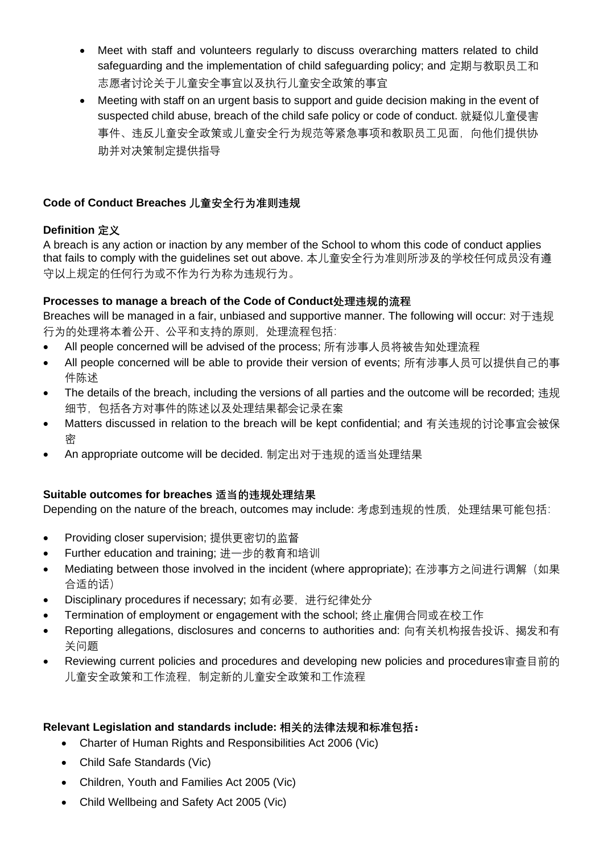- Meet with staff and volunteers regularly to discuss overarching matters related to child safeguarding and the implementation of child safeguarding policy; and 定期与教职员工和 志愿者讨论关于儿童安全事宜以及执行儿童安全政策的事宜
- Meeting with staff on an urgent basis to support and guide decision making in the event of suspected child abuse, breach of the child safe policy or code of conduct. 就疑似儿童侵害 事件、违反儿童安全政策或儿童安全行为规范等紧急事项和教职员工见面,向他们提供协 助并对决策制定提供指导

## **Code of Conduct Breaches 儿童安全行为准则违规**

#### **Definition 定义**

A breach is any action or inaction by any member of the School to whom this code of conduct applies that fails to comply with the guidelines set out above. 本儿童安全行为准则所涉及的学校任何成员没有遵 守以上规定的任何行为或不作为行为称为违规行为。

### **Processes to manage a breach of the Code of Conduct处理违规的流程**

Breaches will be managed in a fair, unbiased and supportive manner. The following will occur: 对于讳规 行为的处理将本着公开、公平和支持的原则,处理流程包括:

- All people concerned will be advised of the process; 所有涉事人员将被告知处理流程
- All people concerned will be able to provide their version of events; 所有涉事人员可以提供自己的事 件陈述
- The details of the breach, including the versions of all parties and the outcome will be recorded; 违规 细节,包括各方对事件的陈述以及处理结果都会记录在案
- Matters discussed in relation to the breach will be kept confidential; and 有关违规的讨论事宜会被保 密
- An appropriate outcome will be decided. 制定出对于违规的适当处理结果

#### **Suitable outcomes for breaches 适当的违规处理结果**

Depending on the nature of the breach, outcomes may include: 考虑到违规的性质, 处理结果可能包括:

- Providing closer supervision; 提供更密切的监督
- Further education and training; 进一步的教育和培训
- Mediating between those involved in the incident (where appropriate); 在涉事方之间进行调解(如果 合适的话)
- Disciplinary procedures if necessary; 如有必要, 进行纪律处分
- Termination of employment or engagement with the school; 终止雇佣合同或在校工作
- Reporting allegations, disclosures and concerns to authorities and: 向有关机构报告投诉、揭发和有 关问题
- Reviewing current policies and procedures and developing new policies and procedures审查目前的 儿童安全政策和工作流程,制定新的儿童安全政策和工作流程

#### **Relevant Legislation and standards include: 相关的法律法规和标准包括:**

- Charter of Human Rights and Responsibilities Act 2006 (Vic)
- Child Safe Standards (Vic)
- Children, Youth and Families Act 2005 (Vic)
- Child Wellbeing and Safety Act 2005 (Vic)